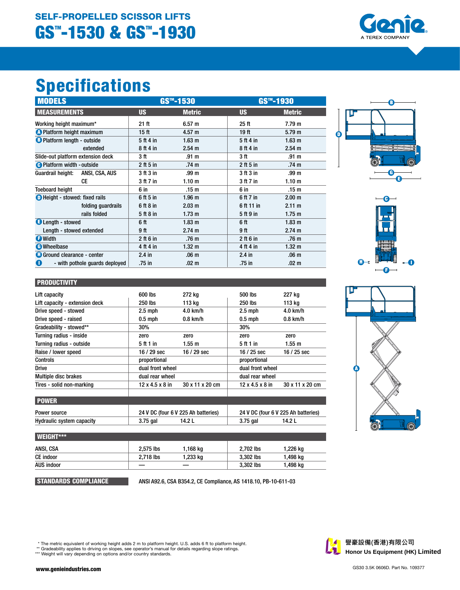

# Specifications

| <b>MODELS</b>                               | $GS^m - 1530$    |                   |                  | $GSm - 1930$      |
|---------------------------------------------|------------------|-------------------|------------------|-------------------|
| <b>MEASUREMENTS</b>                         | <b>US</b>        | <b>Metric</b>     | <b>US</b>        | <b>Metric</b>     |
| Working height maximum*                     | 21 ft            | 6.57 m            | 25 <sub>ft</sub> | 7.79 m            |
| <b>C</b> Platform height maximum            | 15 <sub>ft</sub> | 4.57 m            | 19 <sub>ft</sub> | 5.79 m            |
| <b>B</b> Platform length - outside          | 5 ft 4 in        | 1.63 <sub>m</sub> | 5 ft 4 in        | 1.63 <sub>m</sub> |
| extended                                    | 8 ft 4 in        | 2.54 m            | 8 ft 4 in        | 2.54 m            |
| Slide-out platform extension deck           | 3 ft             | .91 <sub>m</sub>  | 3 ft             | .91 <sub>m</sub>  |
| <b>O</b> Platform width - outside           | $2$ ft 5 in      | .74 <sub>m</sub>  | $2$ ft 5 in      | .74 <sub>m</sub>  |
| ANSI, CSA, AUS<br>Guardrail height:         | 3 ft 3 in        | .99 m             | 3 ft 3 in        | .99 <sub>m</sub>  |
| СE                                          | 3 ft 7 in        | 1.10 <sub>m</sub> | 3 ft 7 in        | 1.10 <sub>m</sub> |
| <b>Toeboard height</b>                      | 6 in             | .15 <sub>m</sub>  | 6 in             | .15 <sub>m</sub>  |
| <b>O</b> Height - stowed: fixed rails       | 6 ft 5 in        | 1.96 <sub>m</sub> | 6 ft 7 in        | 2.00 <sub>m</sub> |
| folding guardrails                          | 6 ft 8 in        | 2.03 m            | 6 ft 11 in       | 2.11 m            |
| rails folded                                | 5 ft 8 in        | 1.73 m            | 5 ft 9 in        | 1.75 m            |
| <b>B</b> Length - stowed                    | 6 ft             | 1.83 <sub>m</sub> | 6 ft             | 1.83 <sub>m</sub> |
| Length - stowed extended                    | 9 ft             | 2.74 m            | 9 ft             | 2.74 m            |
| <b>O</b> Width                              | $2$ ft 6 in      | .76 <sub>m</sub>  | $2$ ft 6 in      | .76 <sub>m</sub>  |
| <b>C</b> Wheelbase                          | 4 ft 4 in        | $1.32 \text{ m}$  | 4 ft 4 in        | $1.32 \text{ m}$  |
| Ground clearance - center                   | $2.4$ in         | .06 <sub>m</sub>  | $2.4$ in         | .06 <sub>m</sub>  |
| $\bullet$<br>- with pothole quards deployed | .75 in           | .02 <sub>m</sub>  | .75 in           | .02 <sub>m</sub>  |







| <b>PRODUCTIVITY</b>            |                                     |                   |                                     |                 |
|--------------------------------|-------------------------------------|-------------------|-------------------------------------|-----------------|
| Lift capacity                  | 600 lbs                             | 272 kg            | 500 lbs                             | 227 kg          |
| Lift capacity - extension deck | 250 lbs                             | 113 kg            | 250 lbs                             | 113 kg          |
| Drive speed - stowed           | $2.5$ mph                           | 4.0 km/h          | $2.5$ mph                           | 4.0 km/h        |
| Drive speed - raised           | $0.5$ mph                           | $0.8$ km/h        | $0.5$ mph                           | $0.8$ km/h      |
| Gradeability - stowed**        | 30%                                 |                   | 30%                                 |                 |
| Turning radius - inside        | zero                                | zero              | zero                                | zero            |
| Turning radius - outside       | 5 ft 1 in                           | 1.55 <sub>m</sub> | 5 ft 1 in                           | 1.55 m          |
| Raise / lower speed            | $16/29$ sec                         | $16/29$ sec       | $16/25$ sec                         | $16/25$ sec     |
| <b>Controls</b>                | proportional                        |                   | proportional                        |                 |
| <b>Drive</b>                   | dual front wheel                    |                   | dual front wheel                    |                 |
| <b>Multiple disc brakes</b>    | dual rear wheel                     |                   | dual rear wheel                     |                 |
| Tires - solid non-marking      | $12 \times 4.5 \times 8$ in         | 30 x 11 x 20 cm   | $12 \times 4.5 \times 8$ in         | 30 x 11 x 20 cm |
| <b>POWER</b>                   |                                     |                   |                                     |                 |
| Power source                   | 24 V DC (four 6 V 225 Ah batteries) |                   | 24 V DC (four 6 V 225 Ah batteries) |                 |
| Hydraulic system capacity      | 3.75 gal                            | 14.2L             | 3.75 gal                            | 14.2L           |

| <b>WEIGHT***</b>  |           |          |           |          |  |
|-------------------|-----------|----------|-----------|----------|--|
| ANSI, CSA         | 2.575 lbs | 1,168 ka | 2.702 lbs | 1,226 kg |  |
| <b>CE</b> indoor  | 2.718 lbs | 1,233 kg | 3.302 lbs | 1,498 kg |  |
| <b>AUS indoor</b> |           |          | 3.302 lbs | 1,498 kg |  |

STANDARDS COMPLIANCE ANSI A92.6, CSA B354.2, CE Compliance, AS 1418.10, PB-10-611-03

\* The metric equivalent of working height adds 2 m to platform height. U.S. adds 6 ft to platform height. \*\* Gradeability applies to driving on slopes, see operator's manual for details regarding slope ratings.

\*\*\* Weight will vary depending on options and/or country standards.